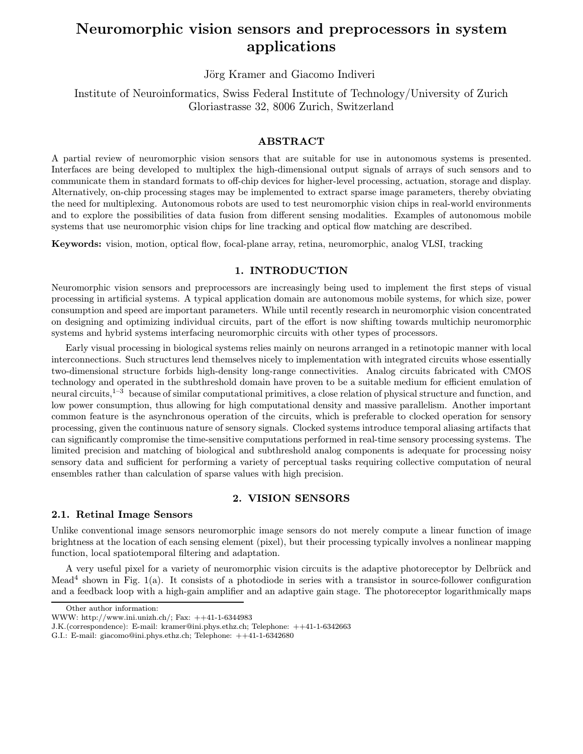# Neuromorphic vision sensors and preprocessors in system applications

Jörg Kramer and Giacomo Indiveri

Institute of Neuroinformatics, Swiss Federal Institute of Technology/University of Zurich Gloriastrasse 32, 8006 Zurich, Switzerland

# ABSTRACT

A partial review of neuromorphic vision sensors that are suitable for use in autonomous systems is presented. Interfaces are being developed to multiplex the high-dimensional output signals of arrays of such sensors and to communicate them in standard formats to off-chip devices for higher-level processing, actuation, storage and display. Alternatively, on-chip processing stages may be implemented to extract sparse image parameters, thereby obviating the need for multiplexing. Autonomous robots are used to test neuromorphic vision chips in real-world environments and to explore the possibilities of data fusion from different sensing modalities. Examples of autonomous mobile systems that use neuromorphic vision chips for line tracking and optical flow matching are described.

Keywords: vision, motion, optical flow, focal-plane array, retina, neuromorphic, analog VLSI, tracking

#### 1. INTRODUCTION

Neuromorphic vision sensors and preprocessors are increasingly being used to implement the first steps of visual processing in artificial systems. A typical application domain are autonomous mobile systems, for which size, power consumption and speed are important parameters. While until recently research in neuromorphic vision concentrated on designing and optimizing individual circuits, part of the effort is now shifting towards multichip neuromorphic systems and hybrid systems interfacing neuromorphic circuits with other types of processors.

Early visual processing in biological systems relies mainly on neurons arranged in a retinotopic manner with local interconnections. Such structures lend themselves nicely to implementation with integrated circuits whose essentially two-dimensional structure forbids high-density long-range connectivities. Analog circuits fabricated with CMOS technology and operated in the subthreshold domain have proven to be a suitable medium for efficient emulation of neural circuits,1–3 because of similar computational primitives, a close relation of physical structure and function, and low power consumption, thus allowing for high computational density and massive parallelism. Another important common feature is the asynchronous operation of the circuits, which is preferable to clocked operation for sensory processing, given the continuous nature of sensory signals. Clocked systems introduce temporal aliasing artifacts that can significantly compromise the time-sensitive computations performed in real-time sensory processing systems. The limited precision and matching of biological and subthreshold analog components is adequate for processing noisy sensory data and sufficient for performing a variety of perceptual tasks requiring collective computation of neural ensembles rather than calculation of sparse values with high precision.

# 2. VISION SENSORS

### 2.1. Retinal Image Sensors

Unlike conventional image sensors neuromorphic image sensors do not merely compute a linear function of image brightness at the location of each sensing element (pixel), but their processing typically involves a nonlinear mapping function, local spatiotemporal filtering and adaptation.

A very useful pixel for a variety of neuromorphic vision circuits is the adaptive photoreceptor by Delbrück and Mead<sup>4</sup> shown in Fig. 1(a). It consists of a photodiode in series with a transistor in source-follower configuration and a feedback loop with a high-gain amplifier and an adaptive gain stage. The photoreceptor logarithmically maps

Other author information:

WWW: http://www.ini.unizh.ch/; Fax: ++41-1-6344983

J.K.(correspondence): E-mail: kramer@ini.phys.ethz.ch; Telephone: ++41-1-6342663

G.I.: E-mail: giacomo@ini.phys.ethz.ch; Telephone: ++41-1-6342680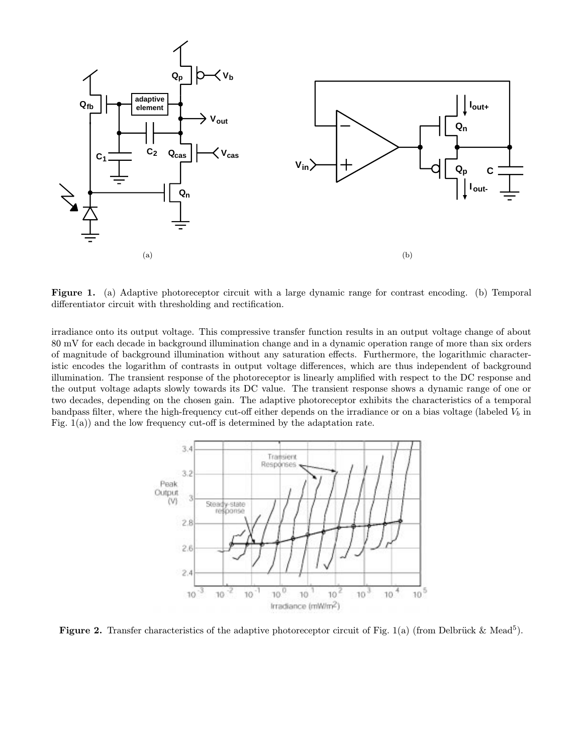

Figure 1. (a) Adaptive photoreceptor circuit with a large dynamic range for contrast encoding. (b) Temporal differentiator circuit with thresholding and rectification.

irradiance onto its output voltage. This compressive transfer function results in an output voltage change of about 80 mV for each decade in background illumination change and in a dynamic operation range of more than six orders of magnitude of background illumination without any saturation effects. Furthermore, the logarithmic characteristic encodes the logarithm of contrasts in output voltage differences, which are thus independent of background illumination. The transient response of the photoreceptor is linearly amplified with respect to the DC response and the output voltage adapts slowly towards its DC value. The transient response shows a dynamic range of one or two decades, depending on the chosen gain. The adaptive photoreceptor exhibits the characteristics of a temporal bandpass filter, where the high-frequency cut-off either depends on the irradiance or on a bias voltage (labeled  $V_b$  in Fig. 1(a)) and the low frequency cut-off is determined by the adaptation rate.



**Figure 2.** Transfer characteristics of the adaptive photoreceptor circuit of Fig. 1(a) (from Delbrück & Mead<sup>5</sup>).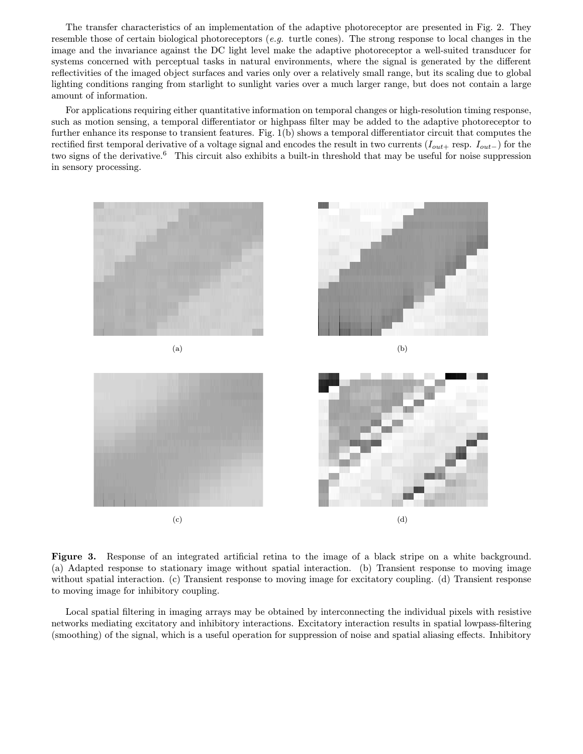The transfer characteristics of an implementation of the adaptive photoreceptor are presented in Fig. 2. They resemble those of certain biological photoreceptors (e.g. turtle cones). The strong response to local changes in the image and the invariance against the DC light level make the adaptive photoreceptor a well-suited transducer for systems concerned with perceptual tasks in natural environments, where the signal is generated by the different reflectivities of the imaged object surfaces and varies only over a relatively small range, but its scaling due to global lighting conditions ranging from starlight to sunlight varies over a much larger range, but does not contain a large amount of information.

For applications requiring either quantitative information on temporal changes or high-resolution timing response, such as motion sensing, a temporal differentiator or highpass filter may be added to the adaptive photoreceptor to further enhance its response to transient features. Fig. 1(b) shows a temporal differentiator circuit that computes the rectified first temporal derivative of a voltage signal and encodes the result in two currents  $(I_{out+}$  resp.  $I_{out-})$  for the two signs of the derivative.<sup>6</sup> This circuit also exhibits a built-in threshold that may be useful for noise suppression in sensory processing.



Figure 3. Response of an integrated artificial retina to the image of a black stripe on a white background. (a) Adapted response to stationary image without spatial interaction. (b) Transient response to moving image without spatial interaction. (c) Transient response to moving image for excitatory coupling. (d) Transient response to moving image for inhibitory coupling.

Local spatial filtering in imaging arrays may be obtained by interconnecting the individual pixels with resistive networks mediating excitatory and inhibitory interactions. Excitatory interaction results in spatial lowpass-filtering (smoothing) of the signal, which is a useful operation for suppression of noise and spatial aliasing effects. Inhibitory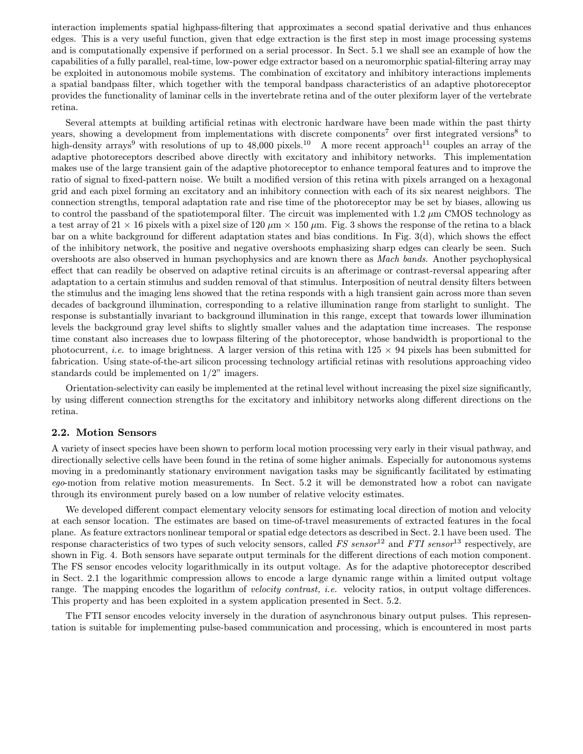interaction implements spatial highpass-filtering that approximates a second spatial derivative and thus enhances edges. This is a very useful function, given that edge extraction is the first step in most image processing systems and is computationally expensive if performed on a serial processor. In Sect. 5.1 we shall see an example of how the capabilities of a fully parallel, real-time, low-power edge extractor based on a neuromorphic spatial-filtering array may be exploited in autonomous mobile systems. The combination of excitatory and inhibitory interactions implements a spatial bandpass filter, which together with the temporal bandpass characteristics of an adaptive photoreceptor provides the functionality of laminar cells in the invertebrate retina and of the outer plexiform layer of the vertebrate retina.

Several attempts at building artificial retinas with electronic hardware have been made within the past thirty years, showing a development from implementations with discrete components<sup>7</sup> over first integrated versions<sup>8</sup> to high-density arrays<sup>9</sup> with resolutions of up to  $48,000$  pixels.<sup>10</sup> A more recent approach<sup>11</sup> couples an array of the adaptive photoreceptors described above directly with excitatory and inhibitory networks. This implementation makes use of the large transient gain of the adaptive photoreceptor to enhance temporal features and to improve the ratio of signal to fixed-pattern noise. We built a modified version of this retina with pixels arranged on a hexagonal grid and each pixel forming an excitatory and an inhibitory connection with each of its six nearest neighbors. The connection strengths, temporal adaptation rate and rise time of the photoreceptor may be set by biases, allowing us to control the passband of the spatiotemporal filter. The circuit was implemented with  $1.2 \mu$ m CMOS technology as a test array of 21  $\times$  16 pixels with a pixel size of 120  $\mu$ m  $\times$  150  $\mu$ m. Fig. 3 shows the response of the retina to a black bar on a white background for different adaptation states and bias conditions. In Fig. 3(d), which shows the effect of the inhibitory network, the positive and negative overshoots emphasizing sharp edges can clearly be seen. Such overshoots are also observed in human psychophysics and are known there as Mach bands. Another psychophysical effect that can readily be observed on adaptive retinal circuits is an afterimage or contrast-reversal appearing after adaptation to a certain stimulus and sudden removal of that stimulus. Interposition of neutral density filters between the stimulus and the imaging lens showed that the retina responds with a high transient gain across more than seven decades of background illumination, corresponding to a relative illumination range from starlight to sunlight. The response is substantially invariant to background illumination in this range, except that towards lower illumination levels the background gray level shifts to slightly smaller values and the adaptation time increases. The response time constant also increases due to lowpass filtering of the photoreceptor, whose bandwidth is proportional to the photocurrent, *i.e.* to image brightness. A larger version of this retina with  $125 \times 94$  pixels has been submitted for fabrication. Using state-of-the-art silicon processing technology artificial retinas with resolutions approaching video standards could be implemented on 1/2" imagers.

Orientation-selectivity can easily be implemented at the retinal level without increasing the pixel size significantly, by using different connection strengths for the excitatory and inhibitory networks along different directions on the retina.

#### 2.2. Motion Sensors

A variety of insect species have been shown to perform local motion processing very early in their visual pathway, and directionally selective cells have been found in the retina of some higher animals. Especially for autonomous systems moving in a predominantly stationary environment navigation tasks may be significantly facilitated by estimating ego-motion from relative motion measurements. In Sect. 5.2 it will be demonstrated how a robot can navigate through its environment purely based on a low number of relative velocity estimates.

We developed different compact elementary velocity sensors for estimating local direction of motion and velocity at each sensor location. The estimates are based on time-of-travel measurements of extracted features in the focal plane. As feature extractors nonlinear temporal or spatial edge detectors as described in Sect. 2.1 have been used. The response characteristics of two types of such velocity sensors, called FS sensor<sup>12</sup> and FTI sensor<sup>13</sup> respectively, are shown in Fig. 4. Both sensors have separate output terminals for the different directions of each motion component. The FS sensor encodes velocity logarithmically in its output voltage. As for the adaptive photoreceptor described in Sect. 2.1 the logarithmic compression allows to encode a large dynamic range within a limited output voltage range. The mapping encodes the logarithm of velocity contrast, *i.e.* velocity ratios, in output voltage differences. This property and has been exploited in a system application presented in Sect. 5.2.

The FTI sensor encodes velocity inversely in the duration of asynchronous binary output pulses. This representation is suitable for implementing pulse-based communication and processing, which is encountered in most parts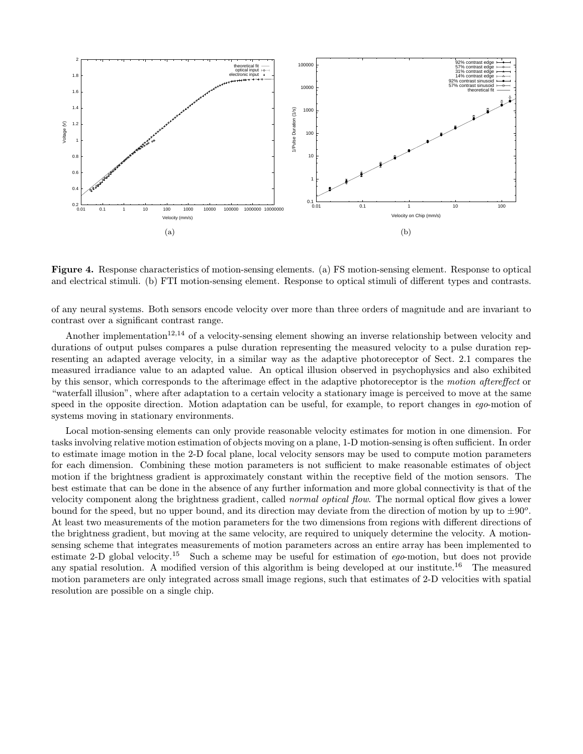

Figure 4. Response characteristics of motion-sensing elements. (a) FS motion-sensing element. Response to optical and electrical stimuli. (b) FTI motion-sensing element. Response to optical stimuli of different types and contrasts.

of any neural systems. Both sensors encode velocity over more than three orders of magnitude and are invariant to contrast over a significant contrast range.

Another implementation<sup>12,14</sup> of a velocity-sensing element showing an inverse relationship between velocity and durations of output pulses compares a pulse duration representing the measured velocity to a pulse duration representing an adapted average velocity, in a similar way as the adaptive photoreceptor of Sect. 2.1 compares the measured irradiance value to an adapted value. An optical illusion observed in psychophysics and also exhibited by this sensor, which corresponds to the afterimage effect in the adaptive photoreceptor is the motion aftereffect or "waterfall illusion", where after adaptation to a certain velocity a stationary image is perceived to move at the same speed in the opposite direction. Motion adaptation can be useful, for example, to report changes in ego-motion of systems moving in stationary environments.

Local motion-sensing elements can only provide reasonable velocity estimates for motion in one dimension. For tasks involving relative motion estimation of objects moving on a plane, 1-D motion-sensing is often sufficient. In order to estimate image motion in the 2-D focal plane, local velocity sensors may be used to compute motion parameters for each dimension. Combining these motion parameters is not sufficient to make reasonable estimates of object motion if the brightness gradient is approximately constant within the receptive field of the motion sensors. The best estimate that can be done in the absence of any further information and more global connectivity is that of the velocity component along the brightness gradient, called normal optical flow. The normal optical flow gives a lower bound for the speed, but no upper bound, and its direction may deviate from the direction of motion by up to  $\pm 90^\circ$ . At least two measurements of the motion parameters for the two dimensions from regions with different directions of the brightness gradient, but moving at the same velocity, are required to uniquely determine the velocity. A motionsensing scheme that integrates measurements of motion parameters across an entire array has been implemented to estimate 2-D global velocity.<sup>15</sup> Such a scheme may be useful for estimation of ego-motion, but does not provide any spatial resolution. A modified version of this algorithm is being developed at our institute.<sup>16</sup> The measured motion parameters are only integrated across small image regions, such that estimates of 2-D velocities with spatial resolution are possible on a single chip.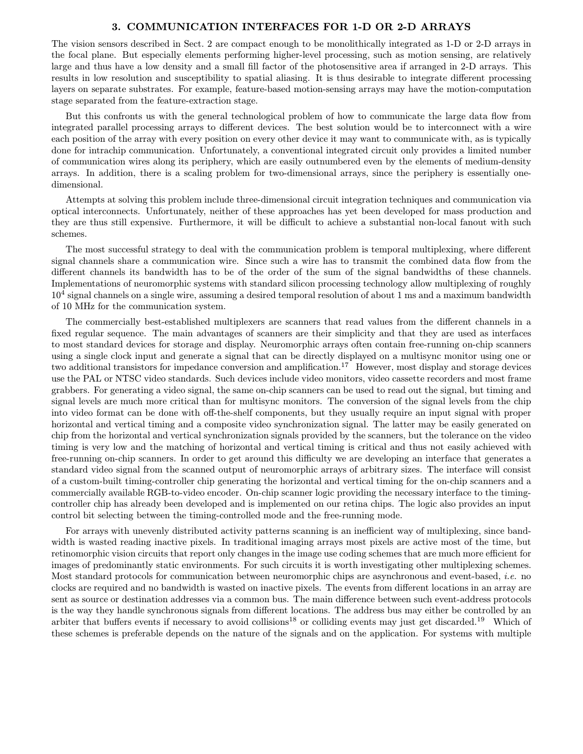## 3. COMMUNICATION INTERFACES FOR 1-D OR 2-D ARRAYS

The vision sensors described in Sect. 2 are compact enough to be monolithically integrated as 1-D or 2-D arrays in the focal plane. But especially elements performing higher-level processing, such as motion sensing, are relatively large and thus have a low density and a small fill factor of the photosensitive area if arranged in 2-D arrays. This results in low resolution and susceptibility to spatial aliasing. It is thus desirable to integrate different processing layers on separate substrates. For example, feature-based motion-sensing arrays may have the motion-computation stage separated from the feature-extraction stage.

But this confronts us with the general technological problem of how to communicate the large data flow from integrated parallel processing arrays to different devices. The best solution would be to interconnect with a wire each position of the array with every position on every other device it may want to communicate with, as is typically done for intrachip communication. Unfortunately, a conventional integrated circuit only provides a limited number of communication wires along its periphery, which are easily outnumbered even by the elements of medium-density arrays. In addition, there is a scaling problem for two-dimensional arrays, since the periphery is essentially onedimensional.

Attempts at solving this problem include three-dimensional circuit integration techniques and communication via optical interconnects. Unfortunately, neither of these approaches has yet been developed for mass production and they are thus still expensive. Furthermore, it will be difficult to achieve a substantial non-local fanout with such schemes.

The most successful strategy to deal with the communication problem is temporal multiplexing, where different signal channels share a communication wire. Since such a wire has to transmit the combined data flow from the different channels its bandwidth has to be of the order of the sum of the signal bandwidths of these channels. Implementations of neuromorphic systems with standard silicon processing technology allow multiplexing of roughly  $10<sup>4</sup>$  signal channels on a single wire, assuming a desired temporal resolution of about 1 ms and a maximum bandwidth of 10 MHz for the communication system.

The commercially best-established multiplexers are scanners that read values from the different channels in a fixed regular sequence. The main advantages of scanners are their simplicity and that they are used as interfaces to most standard devices for storage and display. Neuromorphic arrays often contain free-running on-chip scanners using a single clock input and generate a signal that can be directly displayed on a multisync monitor using one or two additional transistors for impedance conversion and amplification.<sup>17</sup> However, most display and storage devices use the PAL or NTSC video standards. Such devices include video monitors, video cassette recorders and most frame grabbers. For generating a video signal, the same on-chip scanners can be used to read out the signal, but timing and signal levels are much more critical than for multisync monitors. The conversion of the signal levels from the chip into video format can be done with off-the-shelf components, but they usually require an input signal with proper horizontal and vertical timing and a composite video synchronization signal. The latter may be easily generated on chip from the horizontal and vertical synchronization signals provided by the scanners, but the tolerance on the video timing is very low and the matching of horizontal and vertical timing is critical and thus not easily achieved with free-running on-chip scanners. In order to get around this difficulty we are developing an interface that generates a standard video signal from the scanned output of neuromorphic arrays of arbitrary sizes. The interface will consist of a custom-built timing-controller chip generating the horizontal and vertical timing for the on-chip scanners and a commercially available RGB-to-video encoder. On-chip scanner logic providing the necessary interface to the timingcontroller chip has already been developed and is implemented on our retina chips. The logic also provides an input control bit selecting between the timing-controlled mode and the free-running mode.

For arrays with unevenly distributed activity patterns scanning is an inefficient way of multiplexing, since bandwidth is wasted reading inactive pixels. In traditional imaging arrays most pixels are active most of the time, but retinomorphic vision circuits that report only changes in the image use coding schemes that are much more efficient for images of predominantly static environments. For such circuits it is worth investigating other multiplexing schemes. Most standard protocols for communication between neuromorphic chips are asynchronous and event-based, i.e. no clocks are required and no bandwidth is wasted on inactive pixels. The events from different locations in an array are sent as source or destination addresses via a common bus. The main difference between such event-address protocols is the way they handle synchronous signals from different locations. The address bus may either be controlled by an arbiter that buffers events if necessary to avoid collisions<sup>18</sup> or colliding events may just get discarded.<sup>19</sup> Which of these schemes is preferable depends on the nature of the signals and on the application. For systems with multiple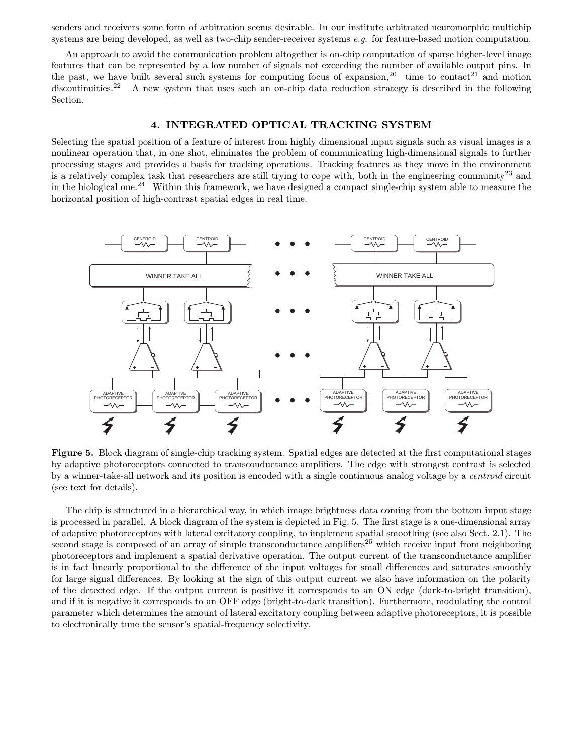senders and receivers some form of arbitration seems desirable. In our institute arbitrated neuromorphic multichip systems are being developed, as well as two-chip sender-receiver systems e.g. for feature-based motion computation.

An approach to avoid the communication problem altogether is on-chip computation of sparse higher-level image features that can be represented by a low number of signals not exceeding the number of available output pins. In the past, we have built several such systems for computing focus of expansion,<sup>20</sup> time to contact<sup>21</sup> and motion discontinuities.<sup>22</sup> A new system that uses such an on-chip data reduction strategy is described in the following Section.

# 4. INTEGRATED OPTICAL TRACKING SYSTEM

Selecting the spatial position of a feature of interest from highly dimensional input signals such as visual images is a nonlinear operation that, in one shot, eliminates the problem of communicating high-dimensional signals to further processing stages and provides a basis for tracking operations. Tracking features as they move in the environment is a relatively complex task that researchers are still trying to cope with, both in the engineering community<sup>23</sup> and in the biological one.<sup>24</sup> Within this framework, we have designed a compact single-chip system able to measure the horizontal position of high-contrast spatial edges in real time.



Figure 5. Block diagram of single-chip tracking system. Spatial edges are detected at the first computational stages by adaptive photoreceptors connected to transconductance amplifiers. The edge with strongest contrast is selected by a winner-take-all network and its position is encoded with a single continuous analog voltage by a centroid circuit (see text for details).

The chip is structured in a hierarchical way, in which image brightness data coming from the bottom input stage is processed in parallel. A block diagram of the system is depicted in Fig. 5. The first stage is a one-dimensional array of adaptive photoreceptors with lateral excitatory coupling, to implement spatial smoothing (see also Sect. 2.1). The second stage is composed of an array of simple transconductance amplifiers<sup>25</sup> which receive input from neighboring photoreceptors and implement a spatial derivative operation. The output current of the transconductance amplifier is in fact linearly proportional to the difference of the input voltages for small differences and saturates smoothly for large signal differences. By looking at the sign of this output current we also have information on the polarity of the detected edge. If the output current is positive it corresponds to an ON edge (dark-to-bright transition), and if it is negative it corresponds to an OFF edge (bright-to-dark transition). Furthermore, modulating the control parameter which determines the amount of lateral excitatory coupling between adaptive photoreceptors, it is possible to electronically tune the sensor's spatial-frequency selectivity.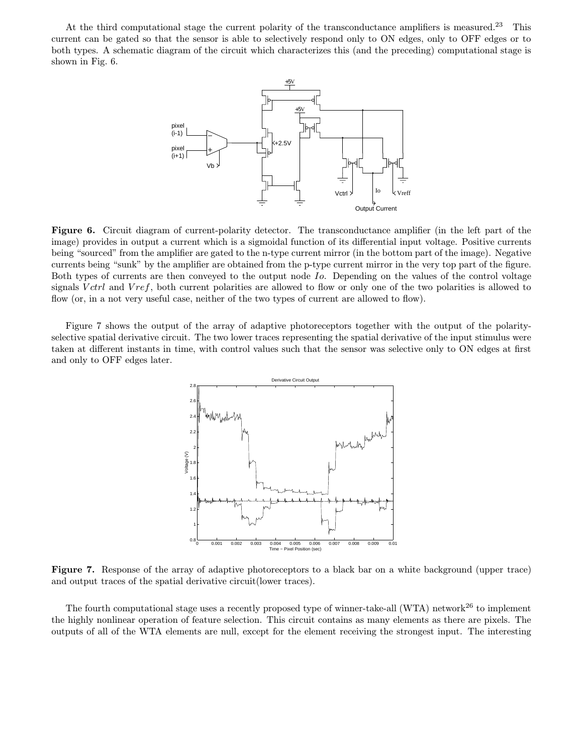At the third computational stage the current polarity of the transconductance amplifiers is measured.<sup>23</sup> This current can be gated so that the sensor is able to selectively respond only to ON edges, only to OFF edges or to both types. A schematic diagram of the circuit which characterizes this (and the preceding) computational stage is shown in Fig. 6.



Figure 6. Circuit diagram of current-polarity detector. The transconductance amplifier (in the left part of the image) provides in output a current which is a sigmoidal function of its differential input voltage. Positive currents being "sourced" from the amplifier are gated to the n-type current mirror (in the bottom part of the image). Negative currents being "sunk" by the amplifier are obtained from the p-type current mirror in the very top part of the figure. Both types of currents are then conveyed to the output node Io. Depending on the values of the control voltage signals V ctrl and V ref, both current polarities are allowed to flow or only one of the two polarities is allowed to flow (or, in a not very useful case, neither of the two types of current are allowed to flow).

Figure 7 shows the output of the array of adaptive photoreceptors together with the output of the polarityselective spatial derivative circuit. The two lower traces representing the spatial derivative of the input stimulus were taken at different instants in time, with control values such that the sensor was selective only to ON edges at first and only to OFF edges later.



Figure 7. Response of the array of adaptive photoreceptors to a black bar on a white background (upper trace) and output traces of the spatial derivative circuit(lower traces).

The fourth computational stage uses a recently proposed type of winner-take-all (WTA) network<sup>26</sup> to implement the highly nonlinear operation of feature selection. This circuit contains as many elements as there are pixels. The outputs of all of the WTA elements are null, except for the element receiving the strongest input. The interesting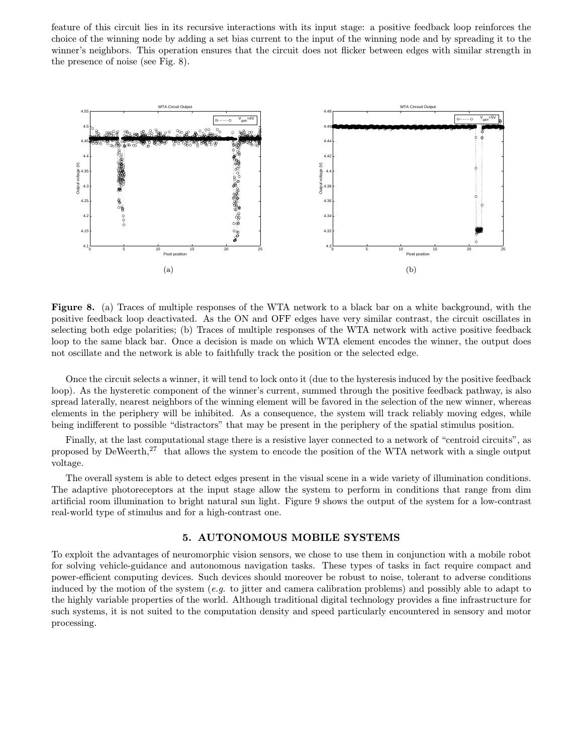feature of this circuit lies in its recursive interactions with its input stage: a positive feedback loop reinforces the choice of the winning node by adding a set bias current to the input of the winning node and by spreading it to the winner's neighbors. This operation ensures that the circuit does not flicker between edges with similar strength in the presence of noise (see Fig. 8).



Figure 8. (a) Traces of multiple responses of the WTA network to a black bar on a white background, with the positive feedback loop deactivated. As the ON and OFF edges have very similar contrast, the circuit oscillates in selecting both edge polarities; (b) Traces of multiple responses of the WTA network with active positive feedback loop to the same black bar. Once a decision is made on which WTA element encodes the winner, the output does not oscillate and the network is able to faithfully track the position or the selected edge.

Once the circuit selects a winner, it will tend to lock onto it (due to the hysteresis induced by the positive feedback loop). As the hysteretic component of the winner's current, summed through the positive feedback pathway, is also spread laterally, nearest neighbors of the winning element will be favored in the selection of the new winner, whereas elements in the periphery will be inhibited. As a consequence, the system will track reliably moving edges, while being indifferent to possible "distractors" that may be present in the periphery of the spatial stimulus position.

Finally, at the last computational stage there is a resistive layer connected to a network of "centroid circuits", as proposed by DeWeerth,<sup>27</sup> that allows the system to encode the position of the WTA network with a single output voltage.

The overall system is able to detect edges present in the visual scene in a wide variety of illumination conditions. The adaptive photoreceptors at the input stage allow the system to perform in conditions that range from dim artificial room illumination to bright natural sun light. Figure 9 shows the output of the system for a low-contrast real-world type of stimulus and for a high-contrast one.

### 5. AUTONOMOUS MOBILE SYSTEMS

To exploit the advantages of neuromorphic vision sensors, we chose to use them in conjunction with a mobile robot for solving vehicle-guidance and autonomous navigation tasks. These types of tasks in fact require compact and power-efficient computing devices. Such devices should moreover be robust to noise, tolerant to adverse conditions induced by the motion of the system (e.g. to jitter and camera calibration problems) and possibly able to adapt to the highly variable properties of the world. Although traditional digital technology provides a fine infrastructure for such systems, it is not suited to the computation density and speed particularly encountered in sensory and motor processing.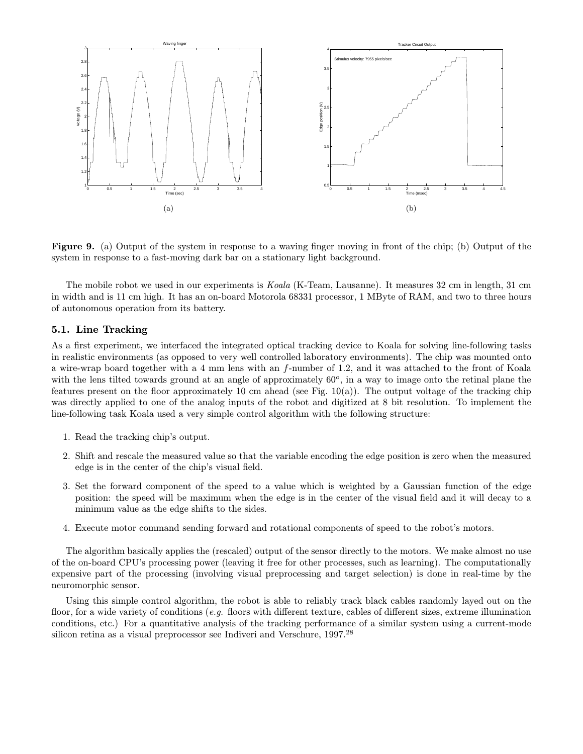

Figure 9. (a) Output of the system in response to a waving finger moving in front of the chip; (b) Output of the system in response to a fast-moving dark bar on a stationary light background.

The mobile robot we used in our experiments is Koala (K-Team, Lausanne). It measures 32 cm in length, 31 cm in width and is 11 cm high. It has an on-board Motorola 68331 processor, 1 MByte of RAM, and two to three hours of autonomous operation from its battery.

# 5.1. Line Tracking

As a first experiment, we interfaced the integrated optical tracking device to Koala for solving line-following tasks in realistic environments (as opposed to very well controlled laboratory environments). The chip was mounted onto a wire-wrap board together with a 4 mm lens with an f-number of 1.2, and it was attached to the front of Koala with the lens tilted towards ground at an angle of approximately  $60^o$ , in a way to image onto the retinal plane the features present on the floor approximately 10 cm ahead (see Fig. 10(a)). The output voltage of the tracking chip was directly applied to one of the analog inputs of the robot and digitized at 8 bit resolution. To implement the line-following task Koala used a very simple control algorithm with the following structure:

- 1. Read the tracking chip's output.
- 2. Shift and rescale the measured value so that the variable encoding the edge position is zero when the measured edge is in the center of the chip's visual field.
- 3. Set the forward component of the speed to a value which is weighted by a Gaussian function of the edge position: the speed will be maximum when the edge is in the center of the visual field and it will decay to a minimum value as the edge shifts to the sides.
- 4. Execute motor command sending forward and rotational components of speed to the robot's motors.

The algorithm basically applies the (rescaled) output of the sensor directly to the motors. We make almost no use of the on-board CPU's processing power (leaving it free for other processes, such as learning). The computationally expensive part of the processing (involving visual preprocessing and target selection) is done in real-time by the neuromorphic sensor.

Using this simple control algorithm, the robot is able to reliably track black cables randomly layed out on the floor, for a wide variety of conditions  $(e.g.$  floors with different texture, cables of different sizes, extreme illumination conditions, etc.) For a quantitative analysis of the tracking performance of a similar system using a current-mode silicon retina as a visual preprocessor see Indiveri and Verschure,  $1997.<sup>28</sup>$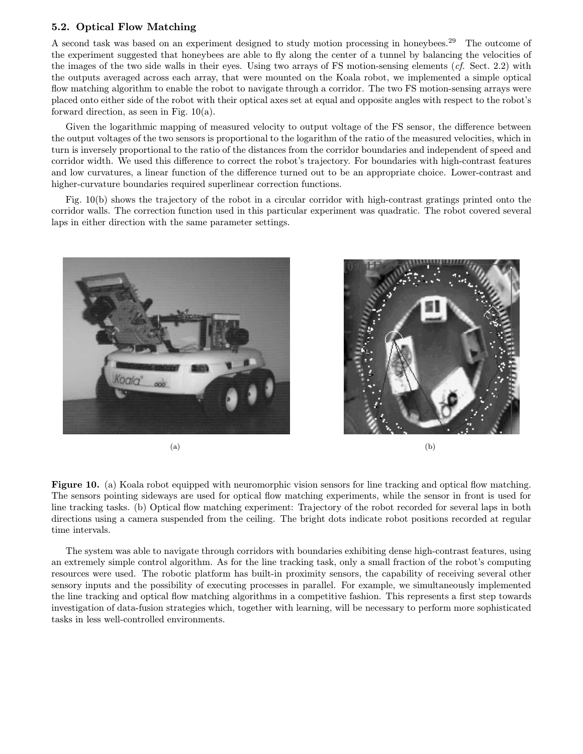## 5.2. Optical Flow Matching

A second task was based on an experiment designed to study motion processing in honeybees.<sup>29</sup> The outcome of the experiment suggested that honeybees are able to fly along the center of a tunnel by balancing the velocities of the images of the two side walls in their eyes. Using two arrays of FS motion-sensing elements (cf. Sect. 2.2) with the outputs averaged across each array, that were mounted on the Koala robot, we implemented a simple optical flow matching algorithm to enable the robot to navigate through a corridor. The two FS motion-sensing arrays were placed onto either side of the robot with their optical axes set at equal and opposite angles with respect to the robot's forward direction, as seen in Fig. 10(a).

Given the logarithmic mapping of measured velocity to output voltage of the FS sensor, the difference between the output voltages of the two sensors is proportional to the logarithm of the ratio of the measured velocities, which in turn is inversely proportional to the ratio of the distances from the corridor boundaries and independent of speed and corridor width. We used this difference to correct the robot's trajectory. For boundaries with high-contrast features and low curvatures, a linear function of the difference turned out to be an appropriate choice. Lower-contrast and higher-curvature boundaries required superlinear correction functions.

Fig. 10(b) shows the trajectory of the robot in a circular corridor with high-contrast gratings printed onto the corridor walls. The correction function used in this particular experiment was quadratic. The robot covered several laps in either direction with the same parameter settings.





 $(a)$  (b)

Figure 10. (a) Koala robot equipped with neuromorphic vision sensors for line tracking and optical flow matching. The sensors pointing sideways are used for optical flow matching experiments, while the sensor in front is used for line tracking tasks. (b) Optical flow matching experiment: Trajectory of the robot recorded for several laps in both directions using a camera suspended from the ceiling. The bright dots indicate robot positions recorded at regular time intervals.

The system was able to navigate through corridors with boundaries exhibiting dense high-contrast features, using an extremely simple control algorithm. As for the line tracking task, only a small fraction of the robot's computing resources were used. The robotic platform has built-in proximity sensors, the capability of receiving several other sensory inputs and the possibility of executing processes in parallel. For example, we simultaneously implemented the line tracking and optical flow matching algorithms in a competitive fashion. This represents a first step towards investigation of data-fusion strategies which, together with learning, will be necessary to perform more sophisticated tasks in less well-controlled environments.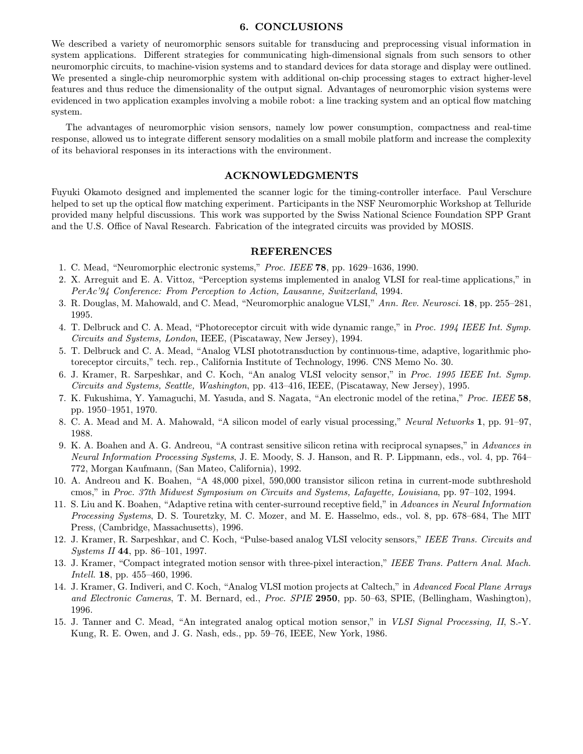#### 6. CONCLUSIONS

We described a variety of neuromorphic sensors suitable for transducing and preprocessing visual information in system applications. Different strategies for communicating high-dimensional signals from such sensors to other neuromorphic circuits, to machine-vision systems and to standard devices for data storage and display were outlined. We presented a single-chip neuromorphic system with additional on-chip processing stages to extract higher-level features and thus reduce the dimensionality of the output signal. Advantages of neuromorphic vision systems were evidenced in two application examples involving a mobile robot: a line tracking system and an optical flow matching system.

The advantages of neuromorphic vision sensors, namely low power consumption, compactness and real-time response, allowed us to integrate different sensory modalities on a small mobile platform and increase the complexity of its behavioral responses in its interactions with the environment.

#### ACKNOWLEDGMENTS

Fuyuki Okamoto designed and implemented the scanner logic for the timing-controller interface. Paul Verschure helped to set up the optical flow matching experiment. Participants in the NSF Neuromorphic Workshop at Telluride provided many helpful discussions. This work was supported by the Swiss National Science Foundation SPP Grant and the U.S. Office of Naval Research. Fabrication of the integrated circuits was provided by MOSIS.

# REFERENCES

- 1. C. Mead, "Neuromorphic electronic systems," Proc. IEEE 78, pp. 1629–1636, 1990.
- 2. X. Arreguit and E. A. Vittoz, "Perception systems implemented in analog VLSI for real-time applications," in PerAc'94 Conference: From Perception to Action, Lausanne, Switzerland, 1994.
- 3. R. Douglas, M. Mahowald, and C. Mead, "Neuromorphic analogue VLSI," Ann. Rev. Neurosci. 18, pp. 255–281, 1995.
- 4. T. Delbruck and C. A. Mead, "Photoreceptor circuit with wide dynamic range," in Proc. 1994 IEEE Int. Symp. Circuits and Systems, London, IEEE, (Piscataway, New Jersey), 1994.
- 5. T. Delbruck and C. A. Mead, "Analog VLSI phototransduction by continuous-time, adaptive, logarithmic photoreceptor circuits," tech. rep., California Institute of Technology, 1996. CNS Memo No. 30.
- 6. J. Kramer, R. Sarpeshkar, and C. Koch, "An analog VLSI velocity sensor," in Proc. 1995 IEEE Int. Symp. Circuits and Systems, Seattle, Washington, pp. 413–416, IEEE, (Piscataway, New Jersey), 1995.
- 7. K. Fukushima, Y. Yamaguchi, M. Yasuda, and S. Nagata, "An electronic model of the retina," Proc. IEEE 58, pp. 1950–1951, 1970.
- 8. C. A. Mead and M. A. Mahowald, "A silicon model of early visual processing," Neural Networks 1, pp. 91–97, 1988.
- 9. K. A. Boahen and A. G. Andreou, "A contrast sensitive silicon retina with reciprocal synapses," in Advances in Neural Information Processing Systems, J. E. Moody, S. J. Hanson, and R. P. Lippmann, eds., vol. 4, pp. 764– 772, Morgan Kaufmann, (San Mateo, California), 1992.
- 10. A. Andreou and K. Boahen, "A 48,000 pixel, 590,000 transistor silicon retina in current-mode subthreshold cmos," in Proc. 37th Midwest Symposium on Circuits and Systems, Lafayette, Louisiana, pp. 97–102, 1994.
- 11. S. Liu and K. Boahen, "Adaptive retina with center-surround receptive field," in Advances in Neural Information Processing Systems, D. S. Touretzky, M. C. Mozer, and M. E. Hasselmo, eds., vol. 8, pp. 678–684, The MIT Press, (Cambridge, Massachusetts), 1996.
- 12. J. Kramer, R. Sarpeshkar, and C. Koch, "Pulse-based analog VLSI velocity sensors," IEEE Trans. Circuits and Systems II 44, pp. 86–101, 1997.
- 13. J. Kramer, "Compact integrated motion sensor with three-pixel interaction," IEEE Trans. Pattern Anal. Mach. Intell. **18**, pp. 455–460, 1996.
- 14. J. Kramer, G. Indiveri, and C. Koch, "Analog VLSI motion projects at Caltech," in Advanced Focal Plane Arrays and Electronic Cameras, T. M. Bernard, ed., Proc. SPIE 2950, pp. 50–63, SPIE, (Bellingham, Washington), 1996.
- 15. J. Tanner and C. Mead, "An integrated analog optical motion sensor," in VLSI Signal Processing, II, S.-Y. Kung, R. E. Owen, and J. G. Nash, eds., pp. 59–76, IEEE, New York, 1986.